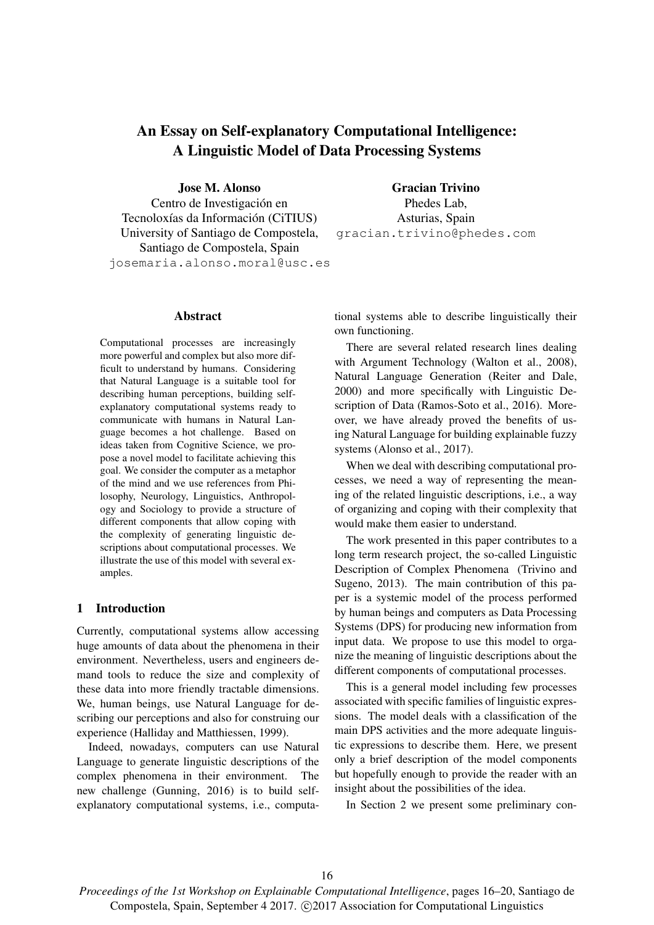# An Essay on Self-explanatory Computational Intelligence: A Linguistic Model of Data Processing Systems

Jose M. Alonso

Centro de Investigación en Tecnoloxías da Información (CiTIUS) University of Santiago de Compostela, Santiago de Compostela, Spain josemaria.alonso.moral@usc.es

Abstract

Computational processes are increasingly more powerful and complex but also more difficult to understand by humans. Considering that Natural Language is a suitable tool for describing human perceptions, building selfexplanatory computational systems ready to communicate with humans in Natural Language becomes a hot challenge. Based on ideas taken from Cognitive Science, we propose a novel model to facilitate achieving this goal. We consider the computer as a metaphor of the mind and we use references from Philosophy, Neurology, Linguistics, Anthropology and Sociology to provide a structure of different components that allow coping with the complexity of generating linguistic descriptions about computational processes. We illustrate the use of this model with several examples.

## 1 Introduction

Currently, computational systems allow accessing huge amounts of data about the phenomena in their environment. Nevertheless, users and engineers demand tools to reduce the size and complexity of these data into more friendly tractable dimensions. We, human beings, use Natural Language for describing our perceptions and also for construing our experience (Halliday and Matthiessen, 1999).

Indeed, nowadays, computers can use Natural Language to generate linguistic descriptions of the complex phenomena in their environment. The new challenge (Gunning, 2016) is to build selfexplanatory computational systems, i.e., computa-

Gracian Trivino Phedes Lab, Asturias, Spain gracian.trivino@phedes.com

tional systems able to describe linguistically their own functioning.

There are several related research lines dealing with Argument Technology (Walton et al., 2008), Natural Language Generation (Reiter and Dale, 2000) and more specifically with Linguistic Description of Data (Ramos-Soto et al., 2016). Moreover, we have already proved the benefits of using Natural Language for building explainable fuzzy systems (Alonso et al., 2017).

When we deal with describing computational processes, we need a way of representing the meaning of the related linguistic descriptions, i.e., a way of organizing and coping with their complexity that would make them easier to understand.

The work presented in this paper contributes to a long term research project, the so-called Linguistic Description of Complex Phenomena (Trivino and Sugeno, 2013). The main contribution of this paper is a systemic model of the process performed by human beings and computers as Data Processing Systems (DPS) for producing new information from input data. We propose to use this model to organize the meaning of linguistic descriptions about the different components of computational processes.

This is a general model including few processes associated with specific families of linguistic expressions. The model deals with a classification of the main DPS activities and the more adequate linguistic expressions to describe them. Here, we present only a brief description of the model components but hopefully enough to provide the reader with an insight about the possibilities of the idea.

In Section 2 we present some preliminary con-

*Proceedings of the 1st Workshop on Explainable Computational Intelligence*, pages 16–20, Santiago de Compostela, Spain, September 4 2017. (c) 2017 Association for Computational Linguistics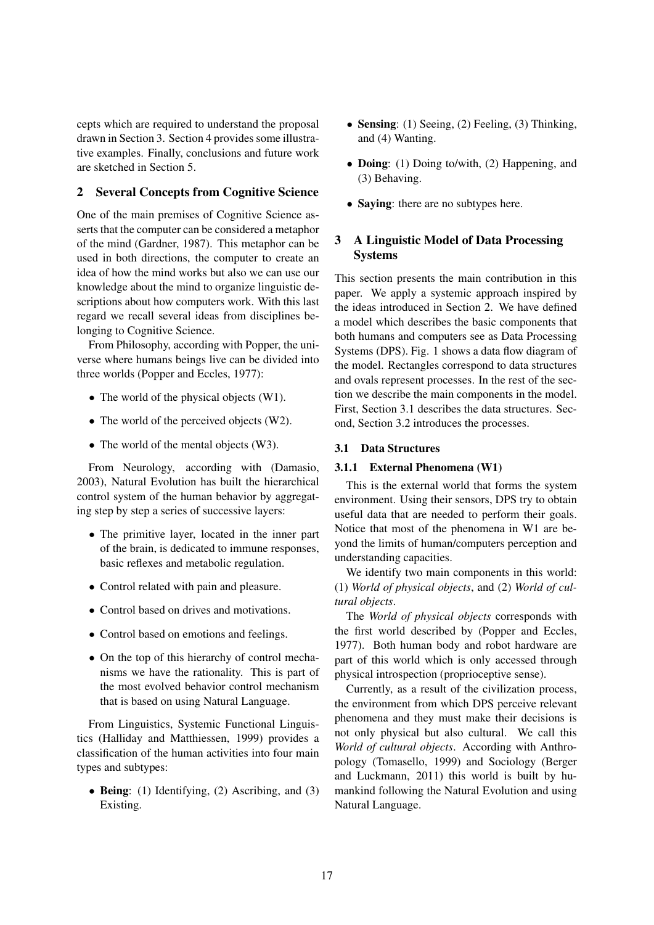cepts which are required to understand the proposal drawn in Section 3. Section 4 provides some illustrative examples. Finally, conclusions and future work are sketched in Section 5.

# 2 Several Concepts from Cognitive Science

One of the main premises of Cognitive Science asserts that the computer can be considered a metaphor of the mind (Gardner, 1987). This metaphor can be used in both directions, the computer to create an idea of how the mind works but also we can use our knowledge about the mind to organize linguistic descriptions about how computers work. With this last regard we recall several ideas from disciplines belonging to Cognitive Science.

From Philosophy, according with Popper, the universe where humans beings live can be divided into three worlds (Popper and Eccles, 1977):

- The world of the physical objects (W1).
- The world of the perceived objects (W2).
- The world of the mental objects (W3).

From Neurology, according with (Damasio, 2003), Natural Evolution has built the hierarchical control system of the human behavior by aggregating step by step a series of successive layers:

- The primitive layer, located in the inner part of the brain, is dedicated to immune responses, basic reflexes and metabolic regulation.
- Control related with pain and pleasure.
- Control based on drives and motivations.
- Control based on emotions and feelings.
- On the top of this hierarchy of control mechanisms we have the rationality. This is part of the most evolved behavior control mechanism that is based on using Natural Language.

From Linguistics, Systemic Functional Linguistics (Halliday and Matthiessen, 1999) provides a classification of the human activities into four main types and subtypes:

• Being: (1) Identifying, (2) Ascribing, and (3) Existing.

- Sensing: (1) Seeing, (2) Feeling, (3) Thinking, and (4) Wanting.
- **Doing**: (1) Doing to/with, (2) Happening, and (3) Behaving.
- Saying: there are no subtypes here.

### 3 A Linguistic Model of Data Processing **Systems**

This section presents the main contribution in this paper. We apply a systemic approach inspired by the ideas introduced in Section 2. We have defined a model which describes the basic components that both humans and computers see as Data Processing Systems (DPS). Fig. 1 shows a data flow diagram of the model. Rectangles correspond to data structures and ovals represent processes. In the rest of the section we describe the main components in the model. First, Section 3.1 describes the data structures. Second, Section 3.2 introduces the processes.

#### 3.1 Data Structures

#### 3.1.1 External Phenomena (W1)

This is the external world that forms the system environment. Using their sensors, DPS try to obtain useful data that are needed to perform their goals. Notice that most of the phenomena in W1 are beyond the limits of human/computers perception and understanding capacities.

We identify two main components in this world: (1) *World of physical objects*, and (2) *World of cultural objects*.

The *World of physical objects* corresponds with the first world described by (Popper and Eccles, 1977). Both human body and robot hardware are part of this world which is only accessed through physical introspection (proprioceptive sense).

Currently, as a result of the civilization process, the environment from which DPS perceive relevant phenomena and they must make their decisions is not only physical but also cultural. We call this *World of cultural objects*. According with Anthropology (Tomasello, 1999) and Sociology (Berger and Luckmann, 2011) this world is built by humankind following the Natural Evolution and using Natural Language.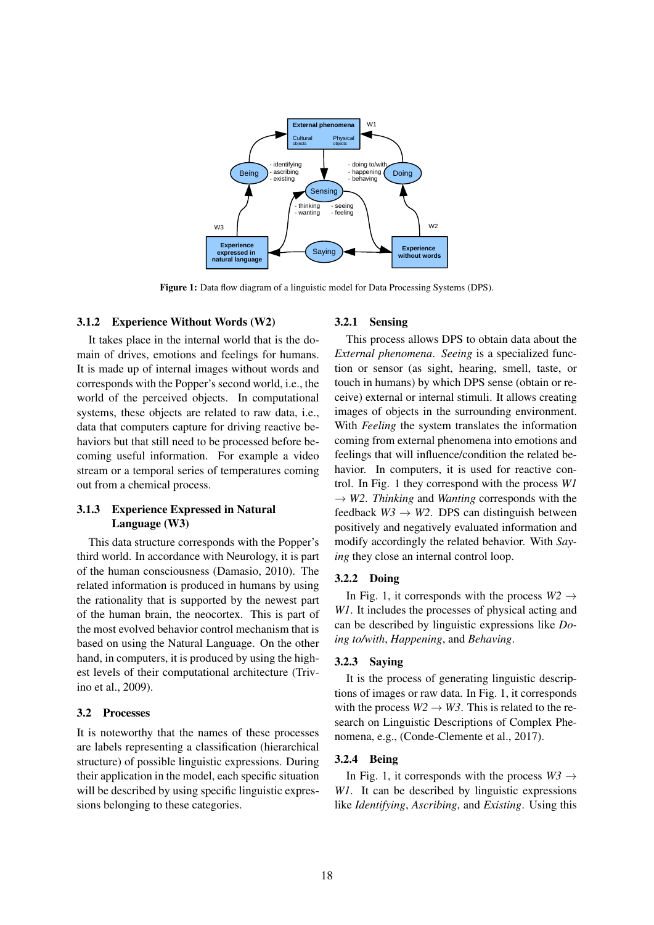

Figure 1: Data flow diagram of a linguistic model for Data Processing Systems (DPS).

#### 3.1.2 Experience Without Words (W2)

It takes place in the internal world that is the domain of drives, emotions and feelings for humans. It is made up of internal images without words and corresponds with the Popper's second world, i.e., the world of the perceived objects. In computational systems, these objects are related to raw data, i.e., data that computers capture for driving reactive behaviors but that still need to be processed before becoming useful information. For example a video stream or a temporal series of temperatures coming out from a chemical process.

### 3.1.3 Experience Expressed in Natural Language (W3)

This data structure corresponds with the Popper's third world. In accordance with Neurology, it is part of the human consciousness (Damasio, 2010). The related information is produced in humans by using the rationality that is supported by the newest part of the human brain, the neocortex. This is part of the most evolved behavior control mechanism that is based on using the Natural Language. On the other hand, in computers, it is produced by using the highest levels of their computational architecture (Trivino et al., 2009).

#### 3.2 Processes

It is noteworthy that the names of these processes are labels representing a classification (hierarchical structure) of possible linguistic expressions. During their application in the model, each specific situation will be described by using specific linguistic expressions belonging to these categories.

#### 3.2.1 Sensing

This process allows DPS to obtain data about the *External phenomena*. *Seeing* is a specialized function or sensor (as sight, hearing, smell, taste, or touch in humans) by which DPS sense (obtain or receive) external or internal stimuli. It allows creating images of objects in the surrounding environment. With *Feeling* the system translates the information coming from external phenomena into emotions and feelings that will influence/condition the related behavior. In computers, it is used for reactive control. In Fig. 1 they correspond with the process *W1*  $\rightarrow$  *W2. Thinking* and *Wanting* corresponds with the feedback  $W3 \rightarrow W2$ . DPS can distinguish between positively and negatively evaluated information and modify accordingly the related behavior. With *Saying* they close an internal control loop.

#### 3.2.2 Doing

In Fig. 1, it corresponds with the process  $W2 \rightarrow$ *W1*. It includes the processes of physical acting and can be described by linguistic expressions like *Doing to/with*, *Happening*, and *Behaving*.

#### 3.2.3 Saying

It is the process of generating linguistic descriptions of images or raw data. In Fig. 1, it corresponds with the process  $W2 \rightarrow W3$ . This is related to the research on Linguistic Descriptions of Complex Phenomena, e.g., (Conde-Clemente et al., 2017).

#### 3.2.4 Being

In Fig. 1, it corresponds with the process  $W3 \rightarrow$ *W1*. It can be described by linguistic expressions like *Identifying*, *Ascribing*, and *Existing*. Using this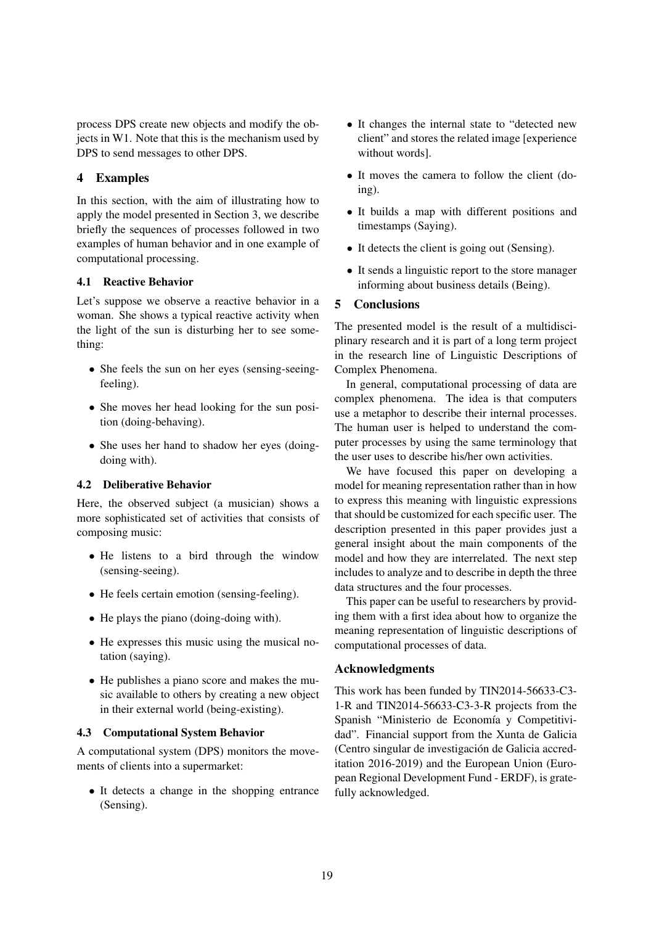process DPS create new objects and modify the objects in W1. Note that this is the mechanism used by DPS to send messages to other DPS.

## 4 Examples

In this section, with the aim of illustrating how to apply the model presented in Section 3, we describe briefly the sequences of processes followed in two examples of human behavior and in one example of computational processing.

### 4.1 Reactive Behavior

Let's suppose we observe a reactive behavior in a woman. She shows a typical reactive activity when the light of the sun is disturbing her to see something:

- She feels the sun on her eyes (sensing-seeingfeeling).
- She moves her head looking for the sun position (doing-behaving).
- She uses her hand to shadow her eyes (doingdoing with).

### 4.2 Deliberative Behavior

Here, the observed subject (a musician) shows a more sophisticated set of activities that consists of composing music:

- He listens to a bird through the window (sensing-seeing).
- He feels certain emotion (sensing-feeling).
- He plays the piano (doing-doing with).
- He expresses this music using the musical notation (saying).
- He publishes a piano score and makes the music available to others by creating a new object in their external world (being-existing).

### 4.3 Computational System Behavior

A computational system (DPS) monitors the movements of clients into a supermarket:

• It detects a change in the shopping entrance (Sensing).

- It changes the internal state to "detected new client" and stores the related image [experience without words].
- It moves the camera to follow the client (doing).
- It builds a map with different positions and timestamps (Saying).
- It detects the client is going out (Sensing).
- It sends a linguistic report to the store manager informing about business details (Being).

### 5 Conclusions

The presented model is the result of a multidisciplinary research and it is part of a long term project in the research line of Linguistic Descriptions of Complex Phenomena.

In general, computational processing of data are complex phenomena. The idea is that computers use a metaphor to describe their internal processes. The human user is helped to understand the computer processes by using the same terminology that the user uses to describe his/her own activities.

We have focused this paper on developing a model for meaning representation rather than in how to express this meaning with linguistic expressions that should be customized for each specific user. The description presented in this paper provides just a general insight about the main components of the model and how they are interrelated. The next step includes to analyze and to describe in depth the three data structures and the four processes.

This paper can be useful to researchers by providing them with a first idea about how to organize the meaning representation of linguistic descriptions of computational processes of data.

### Acknowledgments

This work has been funded by TIN2014-56633-C3- 1-R and TIN2014-56633-C3-3-R projects from the Spanish "Ministerio de Economía y Competitividad". Financial support from the Xunta de Galicia (Centro singular de investigacion de Galicia accred- ´ itation 2016-2019) and the European Union (European Regional Development Fund - ERDF), is gratefully acknowledged.